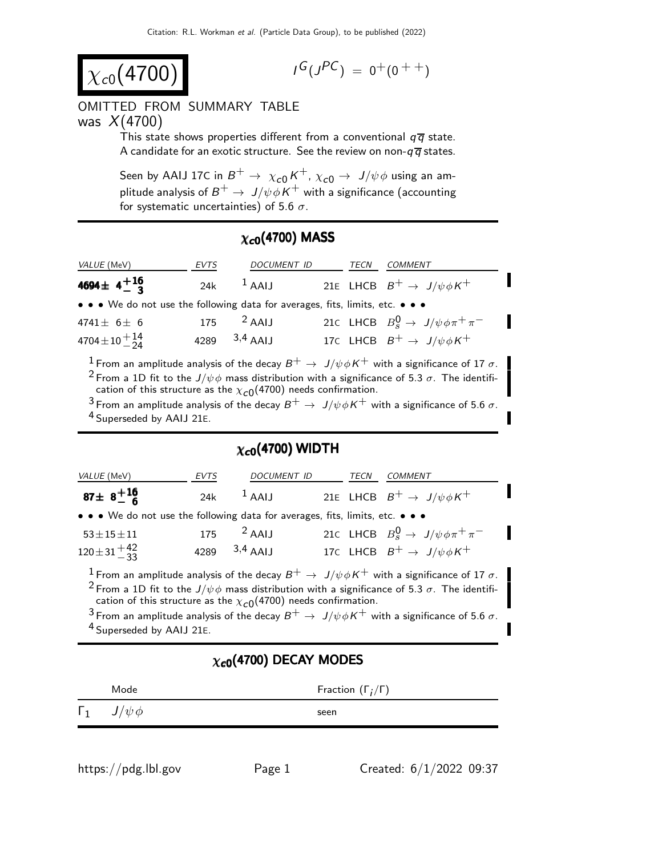$$
\chi_{c0}(4700)
$$

$$
I^G(J^{PC})\ =\ 0^+(0\ ^{++})
$$

#### OMITTED FROM SUMMARY TABLE was  $X(4700)$

This state shows properties different from a conventional  $q\bar{q}$  state. A candidate for an exotic structure. See the review on non- $q\bar{q}$  states.

Seen by AAIJ 17C in  $B^+ \rightarrow \ \chi_{c0}^{} K^+$ ,  $\chi_{c0}^{} \rightarrow \ J/\psi \phi$  using an amplitude analysis of  $B^+ \to \ J/\psi \phi \, K^+$  with a significance (accounting for systematic uncertainties) of 5.6  $\sigma$ .

### $\chi_{c0}(4700)$  MASS

| <i>VALUE</i> (MeV)                                                            | <b>EVTS</b> | <b>DOCUMENT ID</b>      |  | TECN | COMMENT                                                                                                           |
|-------------------------------------------------------------------------------|-------------|-------------------------|--|------|-------------------------------------------------------------------------------------------------------------------|
| 4694 ± $4^{+16}_{-3}$                                                         |             | 24k $^1$ AAIJ           |  |      | 21E LHCB $B^+ \rightarrow J/\psi \phi K^+$                                                                        |
| • • • We do not use the following data for averages, fits, limits, etc. • • • |             |                         |  |      |                                                                                                                   |
| 4741 $\pm$ 6 $\pm$ 6                                                          |             | $175$ <sup>2</sup> AAIJ |  |      | 21c LHCB $B_s^0 \rightarrow J/\psi \phi \pi^+ \pi^-$                                                              |
| $4704 \pm 10 + \frac{14}{24}$                                                 |             | 4289 $3,4$ AAIJ         |  |      | 17C LHCB $B^+ \rightarrow J/\psi \phi K^+$                                                                        |
|                                                                               |             |                         |  |      | <b>1</b> Erom an amplitude applying of the decay $R^+ \rightarrow U/d\phi K^+$ with a significance of 17 $\sigma$ |

From an amplitude analysis of the decay  $B^+ \to \ J/\psi \phi K^+$  with a significance of 17  $\sigma$ . <sup>2</sup> From a 1D fit to the  $J/\psi \phi$  mass distribution with a significance of 5.3  $\sigma$ . The identification of this structure as the  $\chi_{\bf C0}($ 4700) needs confirmation.

3 From an amplitude analysis of the decay  $B^+ \to J/\psi \phi K^+$  with a significance of 5.6  $\sigma$ . 4 Superseded by AAIJ 21E.

## $\chi_{c0}$ (4700) WIDTH

| VALUE (MeV)                                                                                                                                                                                    | <i>FVTS</i> | DOCUMENT ID             | TECN | <i>COMMENT</i>                                       |  |
|------------------------------------------------------------------------------------------------------------------------------------------------------------------------------------------------|-------------|-------------------------|------|------------------------------------------------------|--|
| 87 ± $8^{+16}_{-6}$                                                                                                                                                                            | 24k         | $1$ AAIJ                |      | 21E LHCB $B^+ \rightarrow J/\psi \phi K^+$           |  |
| • • • We do not use the following data for averages, fits, limits, etc. • • •                                                                                                                  |             |                         |      |                                                      |  |
| $53 \pm 15 \pm 11$                                                                                                                                                                             |             | $175$ <sup>2</sup> AAIJ |      | 21c LHCB $B_s^0 \rightarrow J/\psi \phi \pi^+ \pi^-$ |  |
| $120 \pm 31 \frac{+42}{-33}$                                                                                                                                                                   |             | 4289 $3,4$ AAII         |      | 17C LHCB $B^+ \rightarrow J/\psi \phi K^+$           |  |
| <sup>1</sup> From an amplitude analysis of the decay $B^+ \to J/\psi \phi K^+$ with a significance of 17 $\sigma$ .                                                                            |             |                         |      |                                                      |  |
| <sup>2</sup> From a 1D fit to the $J/\psi \phi$ mass distribution with a significance of 5.3 $\sigma$ . The identifi-<br>cation of this structure as the $\chi_{c0}(4700)$ needs confirmation. |             |                         |      |                                                      |  |
| $3$ From an amplitude analysis of the decay $B^+ \to J/\psi \phi K^+$ with a significance of 5.6 $\sigma$ .                                                                                    |             |                         |      |                                                      |  |
| <sup>4</sup> Superseded by AAIJ 21E.                                                                                                                                                           |             |                         |      |                                                      |  |

### $\chi_{c0}$ (4700) DECAY MODES

|            | Mode          | Fraction $(\Gamma_i/\Gamma)$ |
|------------|---------------|------------------------------|
| $\Gamma_1$ | $J/\psi \phi$ | seen                         |